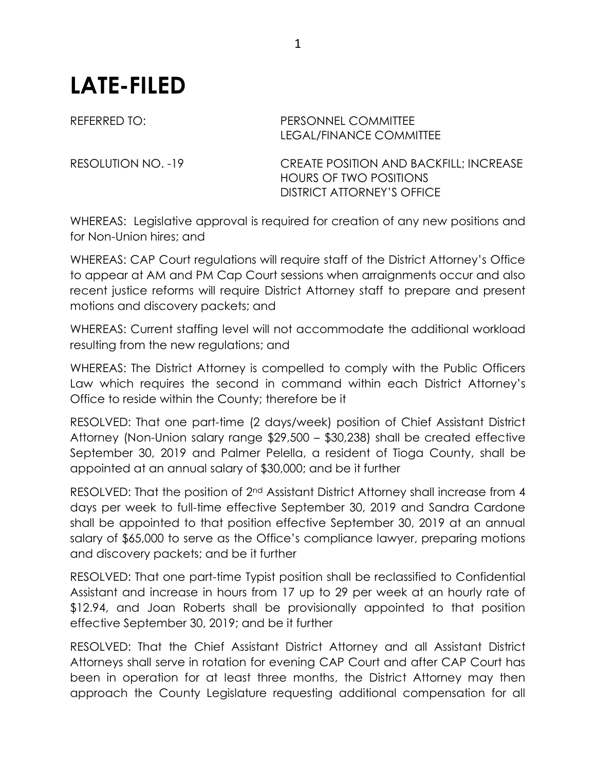## **LATE-FILED**

## REFERRED TO: PERSONNEL COMMITTEE LEGAL/FINANCE COMMITTEE

RESOLUTION NO. -19 CREATE POSITION AND BACKFILL; INCREASE HOURS OF TWO POSITIONS DISTRICT ATTORNEY'S OFFICE

WHEREAS: Legislative approval is required for creation of any new positions and for Non-Union hires; and

WHEREAS: CAP Court regulations will require staff of the District Attorney's Office to appear at AM and PM Cap Court sessions when arraignments occur and also recent justice reforms will require District Attorney staff to prepare and present motions and discovery packets; and

WHEREAS: Current staffing level will not accommodate the additional workload resulting from the new regulations; and

WHEREAS: The District Attorney is compelled to comply with the Public Officers Law which requires the second in command within each District Attorney's Office to reside within the County; therefore be it

RESOLVED: That one part-time (2 days/week) position of Chief Assistant District Attorney (Non-Union salary range \$29,500 – \$30,238) shall be created effective September 30, 2019 and Palmer Pelella, a resident of Tioga County, shall be appointed at an annual salary of \$30,000; and be it further

RESOLVED: That the position of 2<sup>nd</sup> Assistant District Attorney shall increase from 4 days per week to full-time effective September 30, 2019 and Sandra Cardone shall be appointed to that position effective September 30, 2019 at an annual salary of \$65,000 to serve as the Office's compliance lawyer, preparing motions and discovery packets; and be it further

RESOLVED: That one part-time Typist position shall be reclassified to Confidential Assistant and increase in hours from 17 up to 29 per week at an hourly rate of \$12.94, and Joan Roberts shall be provisionally appointed to that position effective September 30, 2019; and be it further

RESOLVED: That the Chief Assistant District Attorney and all Assistant District Attorneys shall serve in rotation for evening CAP Court and after CAP Court has been in operation for at least three months, the District Attorney may then approach the County Legislature requesting additional compensation for all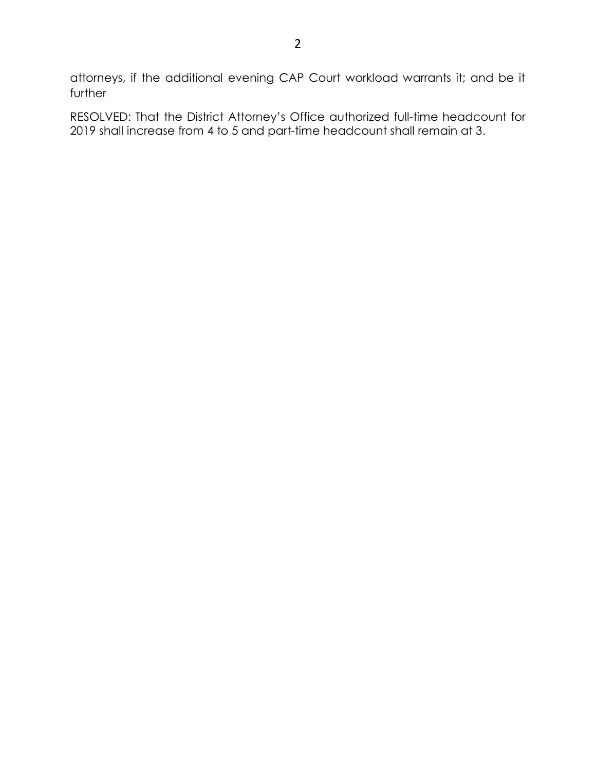attorneys, if the additional evening CAP Court workload warrants it; and be it further

RESOLVED: That the District Attorney's Office authorized full-time headcount for 2019 shall increase from 4 to 5 and part-time headcount shall remain at 3.